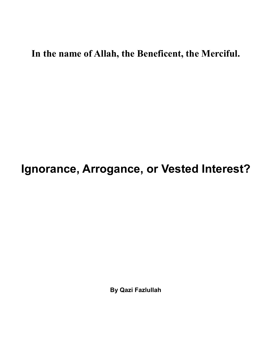## **In the name of Allah, the Beneficent, the Merciful.**

## **Ignorance, Arrogance, or Vested Interest?**

**By Qazi Fazlullah**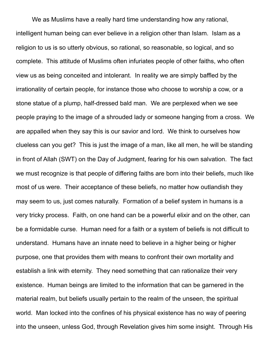We as Muslims have a really hard time understanding how any rational, intelligent human being can ever believe in a religion other than Islam. Islam as a religion to us is so utterly obvious, so rational, so reasonable, so logical, and so complete. This attitude of Muslims often infuriates people of other faiths, who often view us as being conceited and intolerant. In reality we are simply baffled by the irrationality of certain people, for instance those who choose to worship a cow, or a stone statue of a plump, half-dressed bald man. We are perplexed when we see people praying to the image of a shrouded lady or someone hanging from a cross. We are appalled when they say this is our savior and lord. We think to ourselves how clueless can you get? This is just the image of a man, like all men, he will be standing in front of Allah (SWT) on the Day of Judgment, fearing for his own salvation. The fact we must recognize is that people of differing faiths are born into their beliefs, much like most of us were. Their acceptance of these beliefs, no matter how outlandish they may seem to us, just comes naturally. Formation of a belief system in humans is a very tricky process. Faith, on one hand can be a powerful elixir and on the other, can be a formidable curse. Human need for a faith or a system of beliefs is not difficult to understand. Humans have an innate need to believe in a higher being or higher purpose, one that provides them with means to confront their own mortality and establish a link with eternity. They need something that can rationalize their very existence. Human beings are limited to the information that can be garnered in the material realm, but beliefs usually pertain to the realm of the unseen, the spiritual world. Man locked into the confines of his physical existence has no way of peering into the unseen, unless God, through Revelation gives him some insight. Through His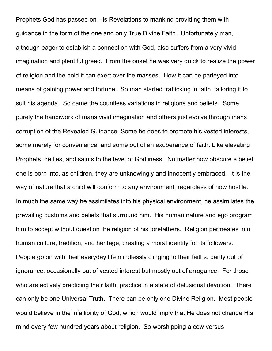Prophets God has passed on His Revelations to mankind providing them with guidance in the form of the one and only True Divine Faith. Unfortunately man, although eager to establish a connection with God, also suffers from a very vivid imagination and plentiful greed. From the onset he was very quick to realize the power of religion and the hold it can exert over the masses. How it can be parleyed into means of gaining power and fortune. So man started trafficking in faith, tailoring it to suit his agenda. So came the countless variations in religions and beliefs. Some purely the handiwork of mans vivid imagination and others just evolve through mans corruption of the Revealed Guidance. Some he does to promote his vested interests, some merely for convenience, and some out of an exuberance of faith. Like elevating Prophets, deities, and saints to the level of Godliness. No matter how obscure a belief one is born into, as children, they are unknowingly and innocently embraced. It is the way of nature that a child will conform to any environment, regardless of how hostile. In much the same way he assimilates into his physical environment, he assimilates the prevailing customs and beliefs that surround him. His human nature and ego program him to accept without question the religion of his forefathers. Religion permeates into human culture, tradition, and heritage, creating a moral identity for its followers. People go on with their everyday life mindlessly clinging to their faiths, partly out of ignorance, occasionally out of vested interest but mostly out of arrogance. For those who are actively practicing their faith, practice in a state of delusional devotion. There can only be one Universal Truth. There can be only one Divine Religion. Most people would believe in the infallibility of God, which would imply that He does not change His mind every few hundred years about religion. So worshipping a cow versus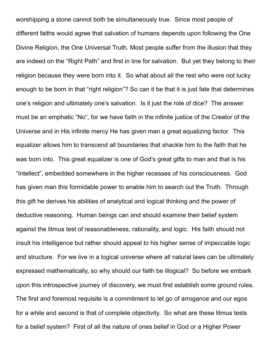worshipping a stone cannot both be simultaneously true. Since most people of different faiths would agree that salvation of humans depends upon following the One Divine Religion, the One Universal Truth. Most people suffer from the illusion that they are indeed on the "Right Path" and first in line for salvation. But yet they belong to their religion because they were born into it. So what about all the rest who were not lucky enough to be born in that "right religion"? So can it be that it is just fate that determines one's religion and ultimately one's salvation. Is it just the role of dice? The answer must be an emphatic "No", for we have faith in the infinite justice of the Creator of the Universe and in His infinite mercy He has given man a great equalizing factor. This equalizer allows him to transcend all boundaries that shackle him to the faith that he was born into. This great equalizer is one of God's great gifts to man and that is his "Intellect", embedded somewhere in the higher recesses of his consciousness. God has given man this formidable power to enable him to search out the Truth. Through this gift he derives his abilities of analytical and logical thinking and the power of deductive reasoning. Human beings can and should examine their belief system against the litmus test of reasonableness, rationality, and logic. His faith should not insult his intelligence but rather should appeal to his higher sense of impeccable logic and structure. For we live in a logical universe where all natural laws can be ultimately expressed mathematically, so why should our faith be illogical? So before we embark upon this introspective journey of discovery, we must first establish some ground rules. The first and foremost requisite is a commitment to let go of arrogance and our egos for a while and second is that of complete objectivity. So what are these litmus tests for a belief system? First of all the nature of ones belief in God or a Higher Power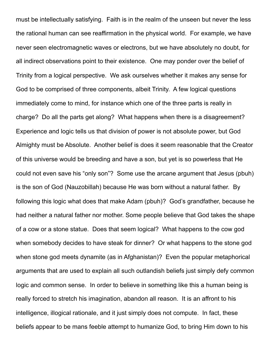must be intellectually satisfying. Faith is in the realm of the unseen but never the less the rational human can see reaffirmation in the physical world. For example, we have never seen electromagnetic waves or electrons, but we have absolutely no doubt, for all indirect observations point to their existence. One may ponder over the belief of Trinity from a logical perspective. We ask ourselves whether it makes any sense for God to be comprised of three components, albeit Trinity. A few logical questions immediately come to mind, for instance which one of the three parts is really in charge? Do all the parts get along? What happens when there is a disagreement? Experience and logic tells us that division of power is not absolute power, but God Almighty must be Absolute. Another belief is does it seem reasonable that the Creator of this universe would be breeding and have a son, but yet is so powerless that He could not even save his "only son"? Some use the arcane argument that Jesus (pbuh) is the son of God (Nauzobillah) because He was born without a natural father. By following this logic what does that make Adam (pbuh)? God's grandfather, because he had neither a natural father nor mother. Some people believe that God takes the shape of a cow or a stone statue. Does that seem logical? What happens to the cow god when somebody decides to have steak for dinner? Or what happens to the stone god when stone god meets dynamite (as in Afghanistan)? Even the popular metaphorical arguments that are used to explain all such outlandish beliefs just simply defy common logic and common sense. In order to believe in something like this a human being is really forced to stretch his imagination, abandon all reason. It is an affront to his intelligence, illogical rationale, and it just simply does not compute. In fact, these beliefs appear to be mans feeble attempt to humanize God, to bring Him down to his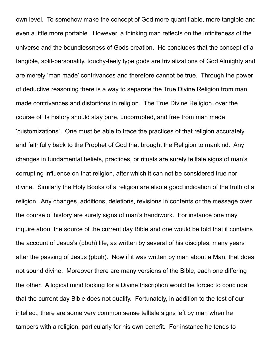own level. To somehow make the concept of God more quantifiable, more tangible and even a little more portable. However, a thinking man reflects on the infiniteness of the universe and the boundlessness of Gods creation. He concludes that the concept of a tangible, split-personality, touchy-feely type gods are trivializations of God Almighty and are merely 'man made' contrivances and therefore cannot be true. Through the power of deductive reasoning there is a way to separate the True Divine Religion from man made contrivances and distortions in religion. The True Divine Religion, over the course of its history should stay pure, uncorrupted, and free from man made 'customizations'. One must be able to trace the practices of that religion accurately and faithfully back to the Prophet of God that brought the Religion to mankind. Any changes in fundamental beliefs, practices, or rituals are surely telltale signs of man's corrupting influence on that religion, after which it can not be considered true nor divine. Similarly the Holy Books of a religion are also a good indication of the truth of a religion. Any changes, additions, deletions, revisions in contents or the message over the course of history are surely signs of man's handiwork. For instance one may inquire about the source of the current day Bible and one would be told that it contains the account of Jesus's (pbuh) life, as written by several of his disciples, many years after the passing of Jesus (pbuh). Now if it was written by man about a Man, that does not sound divine. Moreover there are many versions of the Bible, each one differing the other. A logical mind looking for a Divine Inscription would be forced to conclude that the current day Bible does not qualify. Fortunately, in addition to the test of our intellect, there are some very common sense telltale signs left by man when he tampers with a religion, particularly for his own benefit. For instance he tends to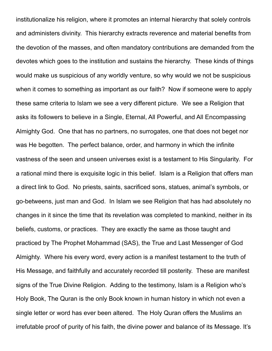institutionalize his religion, where it promotes an internal hierarchy that solely controls and administers divinity. This hierarchy extracts reverence and material benefits from the devotion of the masses, and often mandatory contributions are demanded from the devotes which goes to the institution and sustains the hierarchy. These kinds of things would make us suspicious of any worldly venture, so why would we not be suspicious when it comes to something as important as our faith? Now if someone were to apply these same criteria to Islam we see a very different picture. We see a Religion that asks its followers to believe in a Single, Eternal, All Powerful, and All Encompassing Almighty God. One that has no partners, no surrogates, one that does not beget nor was He begotten. The perfect balance, order, and harmony in which the infinite vastness of the seen and unseen universes exist is a testament to His Singularity. For a rational mind there is exquisite logic in this belief. Islam is a Religion that offers man a direct link to God. No priests, saints, sacrificed sons, statues, animal's symbols, or go-betweens, just man and God. In Islam we see Religion that has had absolutely no changes in it since the time that its revelation was completed to mankind, neither in its beliefs, customs, or practices. They are exactly the same as those taught and practiced by The Prophet Mohammad (SAS), the True and Last Messenger of God Almighty. Where his every word, every action is a manifest testament to the truth of His Message, and faithfully and accurately recorded till posterity. These are manifest signs of the True Divine Religion. Adding to the testimony, Islam is a Religion who's Holy Book, The Quran is the only Book known in human history in which not even a single letter or word has ever been altered. The Holy Quran offers the Muslims an irrefutable proof of purity of his faith, the divine power and balance of its Message. It's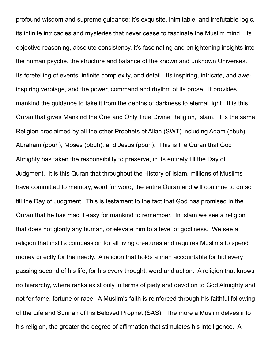profound wisdom and supreme guidance; it's exquisite, inimitable, and irrefutable logic, its infinite intricacies and mysteries that never cease to fascinate the Muslim mind. Its objective reasoning, absolute consistency, it's fascinating and enlightening insights into the human psyche, the structure and balance of the known and unknown Universes. Its foretelling of events, infinite complexity, and detail. Its inspiring, intricate, and aweinspiring verbiage, and the power, command and rhythm of its prose. It provides mankind the guidance to take it from the depths of darkness to eternal light. It is this Quran that gives Mankind the One and Only True Divine Religion, Islam. It is the same Religion proclaimed by all the other Prophets of Allah (SWT) including Adam (pbuh), Abraham (pbuh), Moses (pbuh), and Jesus (pbuh). This is the Quran that God Almighty has taken the responsibility to preserve, in its entirety till the Day of Judgment. It is this Quran that throughout the History of Islam, millions of Muslims have committed to memory, word for word, the entire Quran and will continue to do so till the Day of Judgment. This is testament to the fact that God has promised in the Quran that he has mad it easy for mankind to remember. In Islam we see a religion that does not glorify any human, or elevate him to a level of godliness. We see a religion that instills compassion for all living creatures and requires Muslims to spend money directly for the needy. A religion that holds a man accountable for hid every passing second of his life, for his every thought, word and action. A religion that knows no hierarchy, where ranks exist only in terms of piety and devotion to God Almighty and not for fame, fortune or race. A Muslim's faith is reinforced through his faithful following of the Life and Sunnah of his Beloved Prophet (SAS). The more a Muslim delves into his religion, the greater the degree of affirmation that stimulates his intelligence. A